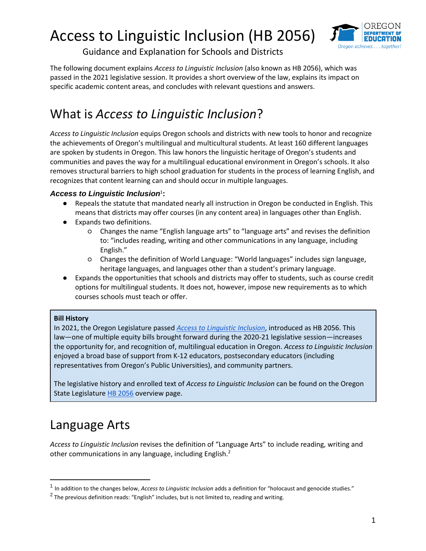

Guidance and Explanation for Schools and Districts

The following document explains *Access to Linguistic Inclusion* (also known as HB 2056), which was passed in the 2021 legislative session. It provides a short overview of the law, explains its impact on specific academic content areas, and concludes with relevant questions and answers.

### What is *Access to Linguistic Inclusion*?

*Access to Linguistic Inclusion* equips Oregon schools and districts with new tools to honor and recognize the achievements of Oregon's multilingual and multicultural students. At least 160 different languages are spoken by students in Oregon. This law honors the linguistic heritage of Oregon's students and communities and paves the way for a multilingual educational environment in Oregon's schools. It also removes structural barriers to high school graduation for students in the process of learning English, and recognizes that content learning can and should occur in multiple languages.

#### Access to Linguistic Inclusion<sup>1</sup>:

- Repeals the statute that mandated nearly all instruction in Oregon be conducted in English. This means that districts may offer courses (in any content area) in languages other than English.
- Expands two definitions.
	- Changes the name "English language arts" to "language arts" and revises the definition to: "includes reading, writing and other communications in any language, including English."
	- Changes the definition of World Language: "World languages" includes sign language, heritage languages, and languages other than a student's primary language.
- Expands the opportunities that schools and districts may offer to students, such as course credit options for multilingual students. It does not, however, impose new requirements as to which courses schools must teach or offer.

#### **Bill History**

In 2021, the Oregon Legislature passed *[Access to Linguistic Inclusion](https://olis.oregonlegislature.gov/liz/2021R1/Measures/Overview/HB2056)*, introduced as HB 2056. This law—one of multiple equity bills brought forward during the 2020-21 legislative session—increases the opportunity for, and recognition of, multilingual education in Oregon. *Access to Linguistic Inclusion* enjoyed a broad base of support from K-12 educators, postsecondary educators (including representatives from Oregon's Public Universities), and community partners.

The legislative history and enrolled text of *Access to Linguistic Inclusion* can be found on the Oregon State Legislature [HB 2056](https://olis.oregonlegislature.gov/liz/2021R1/Measures/Overview/HB2056) overview page.

### Language Arts

 $\overline{a}$ 

*Access to Linguistic Inclusion* revises the definition of "Language Arts" to include reading, writing and other communications in any language, including English.<sup>2</sup>

<sup>1</sup> In addition to the changes below, *Access to Linguistic Inclusion* adds a definition for "holocaust and genocide studies."

 $^2$  The previous definition reads: "English" includes, but is not limited to, reading and writing.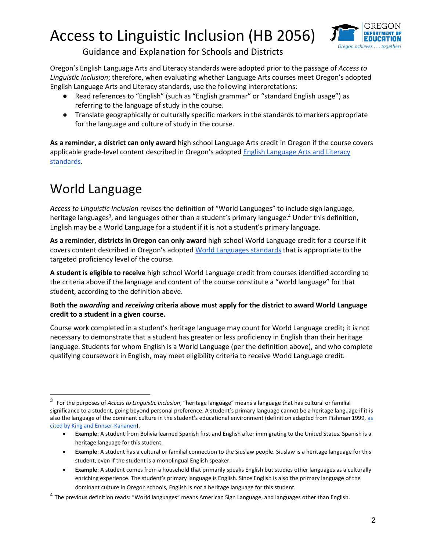

#### Guidance and Explanation for Schools and Districts

Oregon's English Language Arts and Literacy standards were adopted prior to the passage of *Access to Linguistic Inclusion*; therefore, when evaluating whether Language Arts courses meet Oregon's adopted English Language Arts and Literacy standards, use the following interpretations:

- Read references to "English" (such as "English grammar" or "standard English usage") as referring to the language of study in the course.
- Translate geographically or culturally specific markers in the standards to markers appropriate for the language and culture of study in the course.

**As a reminder, a district can only award** high school Language Arts credit in Oregon if the course covers applicable grade-level content described in Oregon's adopted [English Language Arts and Literacy](https://www.oregon.gov/ode/educator-resources/standards/ELA/Pages/ELAStandards.aspx)  [standards.](https://www.oregon.gov/ode/educator-resources/standards/ELA/Pages/ELAStandards.aspx)

## World Language

*Access to Linguistic Inclusion* revises the definition of "World Languages" to include sign language, heritage languages<sup>3</sup>, and languages other than a student's primary language.<sup>4</sup> Under this definition, English may be a World Language for a student if it is not a student's primary language.

**As a reminder, districts in Oregon can only award** high school World Language credit for a course if it covers content described in Oregon's adopted [World Languages standards](https://www.oregon.gov/ode/educator-resources/standards/Pages/World-Languages.aspx) that is appropriate to the targeted proficiency level of the course.

**A student is eligible to receive** high school World Language credit from courses identified according to the criteria above if the language and content of the course constitute a "world language" for that student, according to the definition above.

#### **Both the** *awarding* **and** *receiving* **criteria above must apply for the district to award World Language credit to a student in a given course.**

Course work completed in a student's heritage language may count for World Language credit; it is not necessary to demonstrate that a student has greater or less proficiency in English than their heritage language. Students for whom English is a World Language (per the definition above), and who complete qualifying coursework in English, may meet eligibility criteria to receive World Language credit.

<sup>3</sup> For the purposes of *Access to Linguistic Inclusion*, "heritage language" means a language that has cultural or familial significance to a student, going beyond personal preference. A student's primary language cannot be a heritage language if it is also the language of the dominant culture in the student's educational environment (definition adapted from Fishman 1999[, as](https://onlinelibrary.wiley.com/doi/pdf/10.1002/9781405198431.wbeal0500)  [cited by King and Ennser-Kananen\)](https://onlinelibrary.wiley.com/doi/pdf/10.1002/9781405198431.wbeal0500).

**Example**: A student from Bolivia learned Spanish first and English after immigrating to the United States. Spanish is a heritage language for this student.

**Example**: A student has a cultural or familial connection to the Siuslaw people. Siuslaw is a heritage language for this student, even if the student is a monolingual English speaker.

**Example**: A student comes from a household that primarily speaks English but studies other languages as a culturally enriching experience. The student's primary language is English. Since English is also the primary language of the dominant culture in Oregon schools, English is *not* a heritage language for this student.

<sup>&</sup>lt;sup>4</sup> The previous definition reads: "World languages" means American Sign Language, and languages other than English.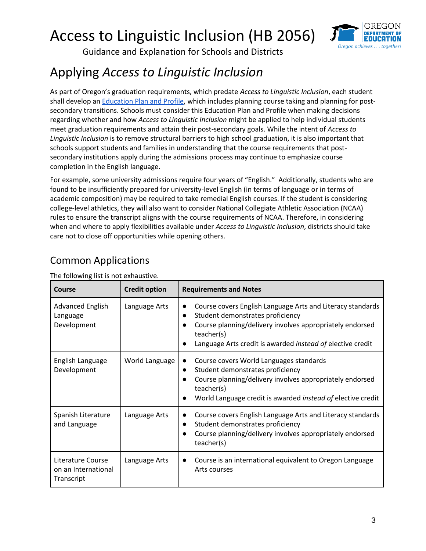

Guidance and Explanation for Schools and Districts

### Applying *Access to Linguistic Inclusion*

As part of Oregon's graduation requirements, which predate *Access to Linguistic Inclusion*, each student shall develop a[n Education Plan and Profile,](https://www.oregon.gov/ode/students-and-family/OregonDiploma/Documents/ed-plan-and-profile.pdf) which includes planning course taking and planning for postsecondary transitions. Schools must consider this Education Plan and Profile when making decisions regarding whether and how *Access to Linguistic Inclusion* might be applied to help individual students meet graduation requirements and attain their post-secondary goals. While the intent of *Access to Linguistic Inclusion* is to remove structural barriers to high school graduation, it is also important that schools support students and families in understanding that the course requirements that postsecondary institutions apply during the admissions process may continue to emphasize course completion in the English language.

For example, some university admissions require four years of "English." Additionally, students who are found to be insufficiently prepared for university-level English (in terms of language or in terms of academic composition) may be required to take remedial English courses. If the student is considering college-level athletics, they will also want to consider National Collegiate Athletic Association (NCAA) rules to ensure the transcript aligns with the course requirements of NCAA. Therefore, in considering when and where to apply flexibilities available under *Access to Linguistic Inclusion*, districts should take care not to close off opportunities while opening others.

| Course                                                 | <b>Credit option</b> | <b>Requirements and Notes</b>                                                                                                                                                                                                          |
|--------------------------------------------------------|----------------------|----------------------------------------------------------------------------------------------------------------------------------------------------------------------------------------------------------------------------------------|
| <b>Advanced English</b><br>Language<br>Development     | Language Arts        | Course covers English Language Arts and Literacy standards<br>Student demonstrates proficiency<br>Course planning/delivery involves appropriately endorsed<br>teacher(s)<br>Language Arts credit is awarded instead of elective credit |
| English Language<br>Development                        | World Language       | Course covers World Languages standards<br>Student demonstrates proficiency<br>$\bullet$<br>Course planning/delivery involves appropriately endorsed<br>teacher(s)<br>World Language credit is awarded instead of elective credit      |
| Spanish Literature<br>and Language                     | Language Arts        | Course covers English Language Arts and Literacy standards<br>Student demonstrates proficiency<br>Course planning/delivery involves appropriately endorsed<br>teacher(s)                                                               |
| Literature Course<br>on an International<br>Transcript | Language Arts        | Course is an international equivalent to Oregon Language<br>Arts courses                                                                                                                                                               |

The following list is not exhaustive.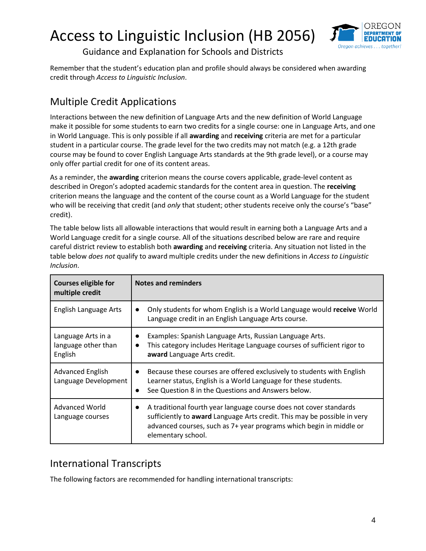

Guidance and Explanation for Schools and Districts

Remember that the student's education plan and profile should always be considered when awarding credit through *Access to Linguistic Inclusion*.

#### Multiple Credit Applications

Interactions between the new definition of Language Arts and the new definition of World Language make it possible for some students to earn two credits for a single course: one in Language Arts, and one in World Language. This is only possible if all **awarding** and **receiving** criteria are met for a particular student in a particular course. The grade level for the two credits may not match (e.g. a 12th grade course may be found to cover English Language Arts standards at the 9th grade level), or a course may only offer partial credit for one of its content areas.

As a reminder, the **awarding** criterion means the course covers applicable, grade-level content as described in Oregon's adopted academic standards for the content area in question. The **receiving** criterion means the language and the content of the course count as a World Language for the student who will be receiving that credit (and *only* that student; other students receive only the course's "base" credit).

The table below lists all allowable interactions that would result in earning both a Language Arts and a World Language credit for a single course. All of the situations described below are rare and require careful district review to establish both **awarding** and **receiving** criteria. Any situation not listed in the table below *does not* qualify to award multiple credits under the new definitions in *Access to Linguistic Inclusion*.

| <b>Courses eligible for</b><br>multiple credit       | <b>Notes and reminders</b>                                                                                                                                                                                                                               |  |
|------------------------------------------------------|----------------------------------------------------------------------------------------------------------------------------------------------------------------------------------------------------------------------------------------------------------|--|
| English Language Arts                                | Only students for whom English is a World Language would receive World<br>$\bullet$<br>Language credit in an English Language Arts course.                                                                                                               |  |
| Language Arts in a<br>language other than<br>English | Examples: Spanish Language Arts, Russian Language Arts.<br>This category includes Heritage Language courses of sufficient rigor to<br>$\bullet$<br>award Language Arts credit.                                                                           |  |
| <b>Advanced English</b><br>Language Development      | Because these courses are offered exclusively to students with English<br>$\bullet$<br>Learner status, English is a World Language for these students.<br>See Question 8 in the Questions and Answers below.                                             |  |
| <b>Advanced World</b><br>Language courses            | A traditional fourth year language course does not cover standards<br>$\bullet$<br>sufficiently to award Language Arts credit. This may be possible in very<br>advanced courses, such as 7+ year programs which begin in middle or<br>elementary school. |  |

#### International Transcripts

The following factors are recommended for handling international transcripts: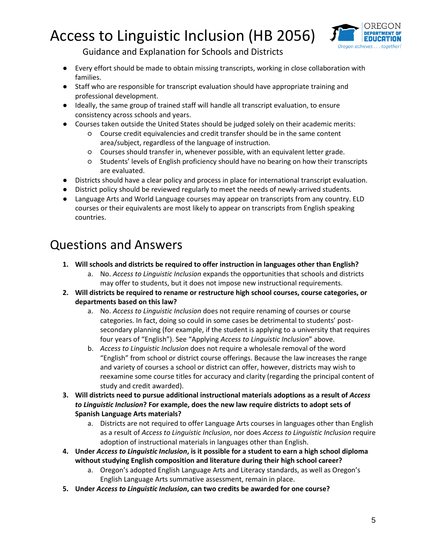

Guidance and Explanation for Schools and Districts

- Every effort should be made to obtain missing transcripts, working in close collaboration with families.
- Staff who are responsible for transcript evaluation should have appropriate training and professional development.
- Ideally, the same group of trained staff will handle all transcript evaluation, to ensure consistency across schools and years.
- Courses taken outside the United States should be judged solely on their academic merits:
	- Course credit equivalencies and credit transfer should be in the same content area/subject, regardless of the language of instruction.
	- Courses should transfer in, whenever possible, with an equivalent letter grade.
	- Students' levels of English proficiency should have no bearing on how their transcripts are evaluated.
- Districts should have a clear policy and process in place for international transcript evaluation.
- District policy should be reviewed regularly to meet the needs of newly-arrived students.
- Language Arts and World Language courses may appear on transcripts from any country. ELD courses or their equivalents are most likely to appear on transcripts from English speaking countries.

### Questions and Answers

- **1. Will schools and districts be required to offer instruction in languages other than English?**
	- a. No. *Access to Linguistic Inclusion* expands the opportunities that schools and districts may offer to students, but it does not impose new instructional requirements.
- **2. Will districts be required to rename or restructure high school courses, course categories, or departments based on this law?**
	- a. No. *Access to Linguistic Inclusion* does not require renaming of courses or course categories. In fact, doing so could in some cases be detrimental to students' postsecondary planning (for example, if the student is applying to a university that requires four years of "English"). See "Applying *Access to Linguistic Inclusion*" above.
	- b. *Access to Linguistic Inclusion* does not require a wholesale removal of the word "English" from school or district course offerings. Because the law increases the range and variety of courses a school or district can offer, however, districts may wish to reexamine some course titles for accuracy and clarity (regarding the principal content of study and credit awarded).
- **3. Will districts need to pursue additional instructional materials adoptions as a result of** *Access to Linguistic Inclusion***? For example, does the new law require districts to adopt sets of Spanish Language Arts materials?**
	- a. Districts are not required to offer Language Arts courses in languages other than English as a result of *Access to Linguistic Inclusion*, nor does *Access to Linguistic Inclusion* require adoption of instructional materials in languages other than English.
- **4. Under** *Access to Linguistic Inclusion***, is it possible for a student to earn a high school diploma without studying English composition and literature during their high school career?**
	- a. Oregon's adopted English Language Arts and Literacy standards, as well as Oregon's English Language Arts summative assessment, remain in place.
- **5. Under** *Access to Linguistic Inclusion***, can two credits be awarded for one course?**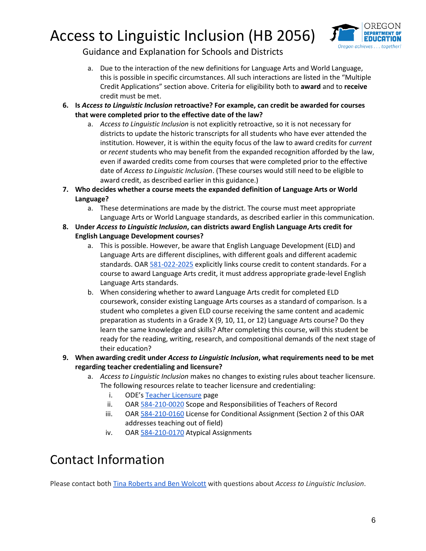

Guidance and Explanation for Schools and Districts

- a. Due to the interaction of the new definitions for Language Arts and World Language, this is possible in specific circumstances. All such interactions are listed in the "Multiple Credit Applications" section above. Criteria for eligibility both to **award** and to **receive** credit must be met.
- **6. Is** *Access to Linguistic Inclusion* **retroactive? For example, can credit be awarded for courses that were completed prior to the effective date of the law?**
	- a. *Access to Linguistic Inclusion* is not explicitly retroactive, so it is not necessary for districts to update the historic transcripts for all students who have ever attended the institution. However, it is within the equity focus of the law to award credits for *current* or *recent* students who may benefit from the expanded recognition afforded by the law, even if awarded credits come from courses that were completed prior to the effective date of *Access to Linguistic Inclusion*. (These courses would still need to be eligible to award credit, as described earlier in this guidance.)
- **7. Who decides whether a course meets the expanded definition of Language Arts or World Language?** 
	- a. These determinations are made by the district. The course must meet appropriate Language Arts or World Language standards, as described earlier in this communication.
- **8. Under** *Access to Linguistic Inclusion***, can districts award English Language Arts credit for English Language Development courses?**
	- a. This is possible. However, be aware that English Language Development (ELD) and Language Arts are different disciplines, with different goals and different academic standards. OA[R 581-022-2025](https://secure.sos.state.or.us/oard/viewSingleRule.action?ruleVrsnRsn=145206) explicitly links course credit to content standards. For a course to award Language Arts credit, it must address appropriate grade-level English Language Arts standards.
	- b. When considering whether to award Language Arts credit for completed ELD coursework, consider existing Language Arts courses as a standard of comparison. Is a student who completes a given ELD course receiving the same content and academic preparation as students in a Grade X (9, 10, 11, or 12) Language Arts course? Do they learn the same knowledge and skills? After completing this course, will this student be ready for the reading, writing, research, and compositional demands of the next stage of their education?
- **9. When awarding credit under** *Access to Linguistic Inclusion***, what requirements need to be met regarding teacher credentialing and licensure?**
	- a. *Access to Linguistic Inclusion* makes no changes to existing rules about teacher licensure. The following resources relate to teacher licensure and credentialing:
		- i. ODE's [Teacher Licensure](https://www.oregon.gov/ode/educator-resources/pages/teacher-licensure.aspx) page
		- ii. OAR [584-210-0020](https://secure.sos.state.or.us/oard/viewSingleRule.action;JSESSIONID_OARD=5dUqzU31o4WUGHb3eafCf25w5I1CPGMga-35qzarHemORYZ75MGD!-888754201?ruleVrsnRsn=152786) Scope and Responsibilities of Teachers of Record
		- iii. OAR [584-210-0160](https://secure.sos.state.or.us/oard/viewSingleRule.action;JSESSIONID_OARD=5dUqzU31o4WUGHb3eafCf25w5I1CPGMga-35qzarHemORYZ75MGD!-888754201?ruleVrsnRsn=245186) License for Conditional Assignment (Section 2 of this OAR addresses teaching out of field)
		- iv. OAR [584-210-0170](https://secure.sos.state.or.us/oard/viewSingleRule.action;JSESSIONID_OARD=5dUqzU31o4WUGHb3eafCf25w5I1CPGMga-35qzarHemORYZ75MGD!-888754201?ruleVrsnRsn=152831) Atypical Assignments

### Contact Information

Please contact bot[h Tina Roberts and Ben Wolcott](mailto:%20tina.roberts@ode.oregon.gov;%20ben.wolcott@ode.oregon.gov) with questions about *Access to Linguistic Inclusion*.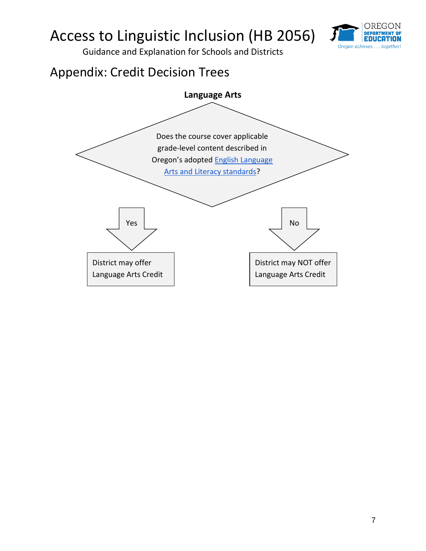

Guidance and Explanation for Schools and Districts

### Appendix: Credit Decision Trees